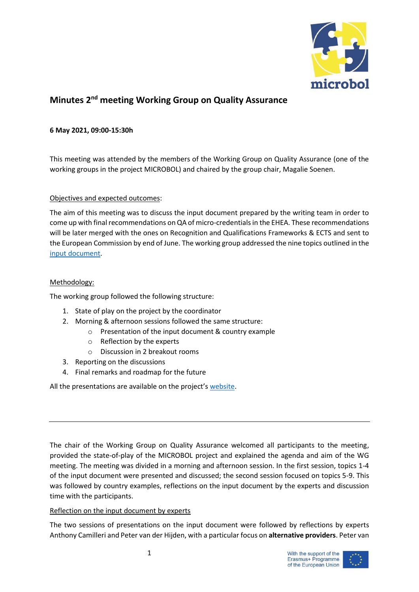

# **Minutes 2 nd meeting Working Group on Quality Assurance**

## **6 May 2021, 09:00-15:30h**

This meeting was attended by the members of the Working Group on Quality Assurance (one of the working groups in the project MICROBOL) and chaired by the group chair, Magalie Soenen.

#### Objectives and expected outcomes:

The aim of this meeting was to discuss the input document prepared by the writing team in order to come up with final recommendations on QA of micro-credentials in the EHEA. These recommendations will be later merged with the ones on Recognition and Qualifications Frameworks & ECTS and sent to the European Commission by end of June. The working group addressed the nine topics outlined in the [input document.](https://microcredentials.eu/wp-content/uploads/sites/20/2021/05/Input-document_QA-WG.pdf)

## Methodology:

The working group followed the following structure:

- 1. State of play on the project by the coordinator
- 2. Morning & afternoon sessions followed the same structure:
	- o Presentation of the input document & country example
		- o Reflection by the experts
		- o Discussion in 2 breakout rooms
- 3. Reporting on the discussions
- 4. Final remarks and roadmap for the future

All the presentations are available on the project's [website.](https://microcredentials.eu/working-groups/working-group-on-quality-assurance/)

The chair of the Working Group on Quality Assurance welcomed all participants to the meeting, provided the state-of-play of the MICROBOL project and explained the agenda and aim of the WG meeting. The meeting was divided in a morning and afternoon session. In the first session, topics 1-4 of the input document were presented and discussed; the second session focused on topics 5-9. This was followed by country examples, reflections on the input document by the experts and discussion time with the participants.

#### Reflection on the input document by experts

The two sessions of presentations on the input document were followed by reflections by experts Anthony Camilleri and Peter van der Hijden, with a particular focus on **alternative providers**. Peter van

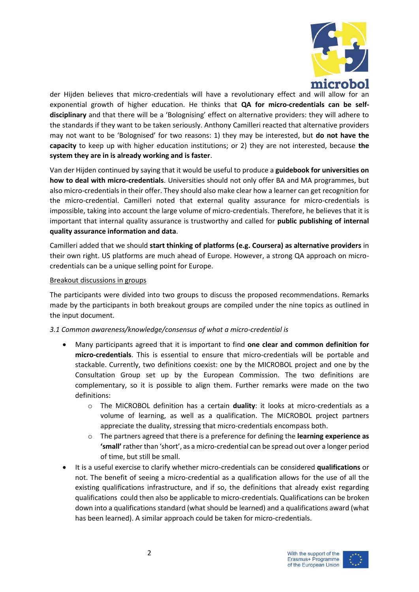

der Hijden believes that micro-credentials will have a revolutionary effect and will allow for an exponential growth of higher education. He thinks that **QA for micro-credentials can be selfdisciplinary** and that there will be a 'Bolognising' effect on alternative providers: they will adhere to the standards if they want to be taken seriously. Anthony Camilleri reacted that alternative providers may not want to be 'Bolognised' for two reasons: 1) they may be interested, but **do not have the capacity** to keep up with higher education institutions; or 2) they are not interested, because **the system they are in is already working and is faster**.

Van der Hijden continued by saying that it would be useful to produce a **guidebook for universities on how to deal with micro-credentials**. Universities should not only offer BA and MA programmes, but also micro-credentials in their offer. They should also make clear how a learner can get recognition for the micro-credential. Camilleri noted that external quality assurance for micro-credentials is impossible, taking into account the large volume of micro-credentials. Therefore, he believes that it is important that internal quality assurance is trustworthy and called for **public publishing of internal quality assurance information and data**.

Camilleri added that we should **start thinking of platforms (e.g. Coursera) as alternative providers** in their own right. US platforms are much ahead of Europe. However, a strong QA approach on microcredentials can be a unique selling point for Europe.

## Breakout discussions in groups

The participants were divided into two groups to discuss the proposed recommendations. Remarks made by the participants in both breakout groups are compiled under the nine topics as outlined in the input document.

# *3.1 Common awareness/knowledge/consensus of what a micro-credential is*

- Many participants agreed that it is important to find **one clear and common definition for micro-credentials**. This is essential to ensure that micro-credentials will be portable and stackable. Currently, two definitions coexist: one by the MICROBOL project and one by the Consultation Group set up by the European Commission. The two definitions are complementary, so it is possible to align them. Further remarks were made on the two definitions:
	- o The MICROBOL definition has a certain **duality**: it looks at micro-credentials as a volume of learning, as well as a qualification. The MICROBOL project partners appreciate the duality, stressing that micro-credentials encompass both.
	- o The partners agreed that there is a preference for defining the **learning experience as 'small'** rather than 'short', as a micro-credential can be spread out over a longer period of time, but still be small.
- It is a useful exercise to clarify whether micro-credentials can be considered **qualifications** or not. The benefit of seeing a micro-credential as a qualification allows for the use of all the existing qualifications infrastructure, and if so, the definitions that already exist regarding qualifications could then also be applicable to micro-credentials. Qualifications can be broken down into a qualifications standard (what should be learned) and a qualifications award (what has been learned). A similar approach could be taken for micro-credentials.

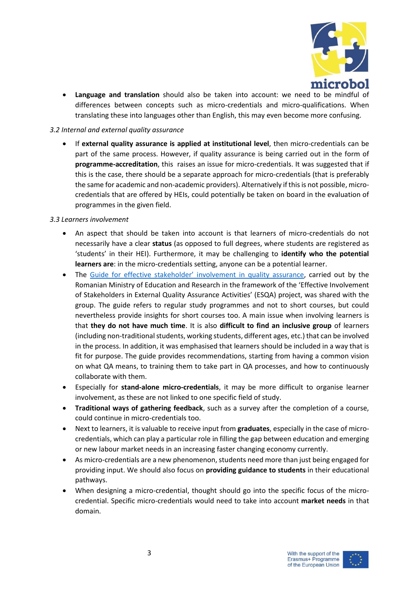

• **Language and translation** should also be taken into account: we need to be mindful of differences between concepts such as micro-credentials and micro-qualifications. When translating these into languages other than English, this may even become more confusing.

# *3.2 Internal and external quality assurance*

• If **external quality assurance is applied at institutional level**, then micro-credentials can be part of the same process. However, if quality assurance is being carried out in the form of **programme-accreditation**, this raises an issue for micro-credentials. It was suggested that if this is the case, there should be a separate approach for micro-credentials (that is preferably the same for academic and non-academic providers). Alternatively if this is not possible, microcredentials that are offered by HEIs, could potentially be taken on board in the evaluation of programmes in the given field.

## *3.3 Learners involvement*

- An aspect that should be taken into account is that learners of micro-credentials do not necessarily have a clear **status** (as opposed to full degrees, where students are registered as 'students' in their HEI). Furthermore, it may be challenging to **identify who the potential learners are**: in the micro-credentials setting, anyone can be a potential learner.
- The Guide for effective stakeholder' [involvement in quality assurance,](https://esqa.ro/wp-content/uploads/2020/11/GESIQA.pdf) carried out by the Romanian Ministry of Education and Research in the framework of the 'Effective Involvement of Stakeholders in External Quality Assurance Activities' (ESQA) project, was shared with the group. The guide refers to regular study programmes and not to short courses, but could nevertheless provide insights for short courses too. A main issue when involving learners is that **they do not have much time**. It is also **difficult to find an inclusive group** of learners (including non-traditional students, working students, different ages, etc.) that can be involved in the process. In addition, it was emphasised that learners should be included in a way that is fit for purpose. The guide provides recommendations, starting from having a common vision on what QA means, to training them to take part in QA processes, and how to continuously collaborate with them.
- Especially for **stand-alone micro-credentials**, it may be more difficult to organise learner involvement, as these are not linked to one specific field of study.
- **Traditional ways of gathering feedback**, such as a survey after the completion of a course, could continue in micro-credentials too.
- Next to learners, it is valuable to receive input from **graduates**, especially in the case of microcredentials, which can play a particular role in filling the gap between education and emerging or new labour market needs in an increasing faster changing economy currently.
- As micro-credentials are a new phenomenon, students need more than just being engaged for providing input. We should also focus on **providing guidance to students** in their educational pathways.
- When designing a micro-credential, thought should go into the specific focus of the microcredential. Specific micro-credentials would need to take into account **market needs** in that domain.

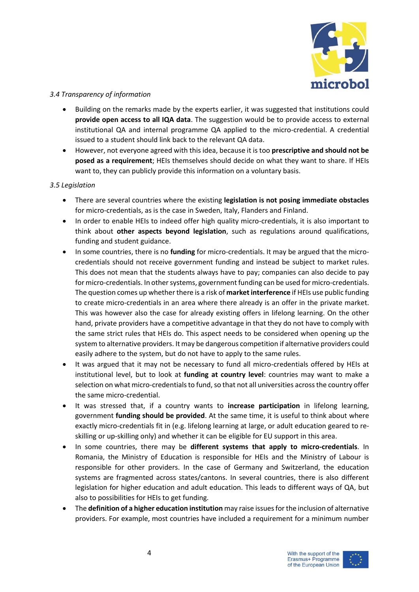

# *3.4 Transparency of information*

- Building on the remarks made by the experts earlier, it was suggested that institutions could **provide open access to all IQA data**. The suggestion would be to provide access to external institutional QA and internal programme QA applied to the micro-credential. A credential issued to a student should link back to the relevant QA data.
- However, not everyone agreed with this idea, because it is too **prescriptive and should not be posed as a requirement**; HEIs themselves should decide on what they want to share. If HEIs want to, they can publicly provide this information on a voluntary basis.

## *3.5 Legislation*

- There are several countries where the existing **legislation is not posing immediate obstacles** for micro-credentials, as is the case in Sweden, Italy, Flanders and Finland.
- In order to enable HEIs to indeed offer high quality micro-credentials, it is also important to think about **other aspects beyond legislation**, such as regulations around qualifications, funding and student guidance.
- In some countries, there is no **funding** for micro-credentials. It may be argued that the microcredentials should not receive government funding and instead be subject to market rules. This does not mean that the students always have to pay; companies can also decide to pay for micro-credentials. In other systems, government funding can be used for micro-credentials. The question comes up whether there is a risk of **market interference** if HEIs use public funding to create micro-credentials in an area where there already is an offer in the private market. This was however also the case for already existing offers in lifelong learning. On the other hand, private providers have a competitive advantage in that they do not have to comply with the same strict rules that HEIs do. This aspect needs to be considered when opening up the system to alternative providers. It may be dangerous competition if alternative providers could easily adhere to the system, but do not have to apply to the same rules.
- It was argued that it may not be necessary to fund all micro-credentials offered by HEIs at institutional level, but to look at **funding at country level**: countries may want to make a selection on what micro-credentials to fund, so that not all universities across the country offer the same micro-credential.
- It was stressed that, if a country wants to **increase participation** in lifelong learning, government **funding should be provided**. At the same time, it is useful to think about where exactly micro-credentials fit in (e.g. lifelong learning at large, or adult education geared to reskilling or up-skilling only) and whether it can be eligible for EU support in this area.
- In some countries, there may be **different systems that apply to micro-credentials**. In Romania, the Ministry of Education is responsible for HEIs and the Ministry of Labour is responsible for other providers. In the case of Germany and Switzerland, the education systems are fragmented across states/cantons. In several countries, there is also different legislation for higher education and adult education. This leads to different ways of QA, but also to possibilities for HEIs to get funding.
- The **definition of a higher education institution** may raise issues for the inclusion of alternative providers. For example, most countries have included a requirement for a minimum number

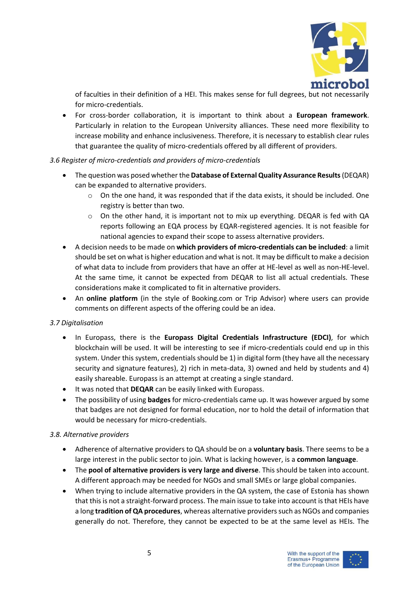

of faculties in their definition of a HEI. This makes sense for full degrees, but not necessarily for micro-credentials.

• For cross-border collaboration, it is important to think about a **European framework**. Particularly in relation to the European University alliances. These need more flexibility to increase mobility and enhance inclusiveness. Therefore, it is necessary to establish clear rules that guarantee the quality of micro-credentials offered by all different of providers.

# *3.6 Register of micro-credentials and providers of micro-credentials*

- The question was posed whether the **Database of External Quality Assurance Results**(DEQAR) can be expanded to alternative providers.
	- o On the one hand, it was responded that if the data exists, it should be included. One registry is better than two.
	- $\circ$  On the other hand, it is important not to mix up everything. DEQAR is fed with QA reports following an EQA process by EQAR-registered agencies. It is not feasible for national agencies to expand their scope to assess alternative providers.
- A decision needs to be made on **which providers of micro-credentials can be included**: a limit should be set on what is higher education and what is not. It may be difficult to make a decision of what data to include from providers that have an offer at HE-level as well as non-HE-level. At the same time, it cannot be expected from DEQAR to list all actual credentials. These considerations make it complicated to fit in alternative providers.
- An **online platform** (in the style of Booking.com or Trip Advisor) where users can provide comments on different aspects of the offering could be an idea.

# *3.7 Digitalisation*

- In Europass, there is the **Europass Digital Credentials Infrastructure (EDCI)**, for which blockchain will be used. It will be interesting to see if micro-credentials could end up in this system. Under this system, credentials should be 1) in digital form (they have all the necessary security and signature features), 2) rich in meta-data, 3) owned and held by students and 4) easily shareable. Europass is an attempt at creating a single standard.
- It was noted that **DEQAR** can be easily linked with Europass.
- The possibility of using **badges** for micro-credentials came up. It was however argued by some that badges are not designed for formal education, nor to hold the detail of information that would be necessary for micro-credentials.

#### *3.8. Alternative providers*

- Adherence of alternative providers to QA should be on a **voluntary basis**. There seems to be a large interest in the public sector to join. What is lacking however, is a **common language**.
- The **pool of alternative providers is very large and diverse**. This should be taken into account. A different approach may be needed for NGOs and small SMEs or large global companies.
- When trying to include alternative providers in the QA system, the case of Estonia has shown that this is not a straight-forward process. The main issue to take into account is that HEIs have a long **tradition of QA procedures**, whereas alternative providers such as NGOs and companies generally do not. Therefore, they cannot be expected to be at the same level as HEIs. The

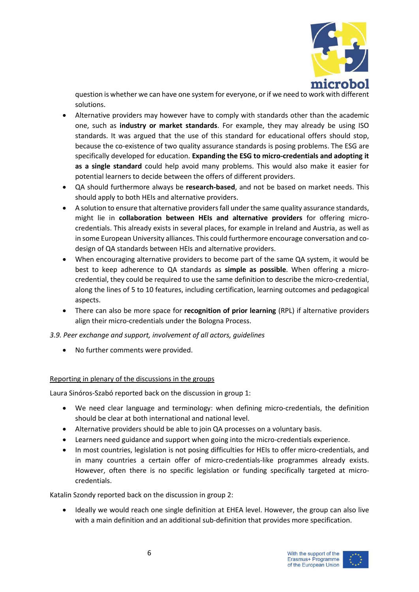

question is whether we can have one system for everyone, or if we need to work with different solutions.

- Alternative providers may however have to comply with standards other than the academic one, such as **industry or market standards**. For example, they may already be using ISO standards. It was argued that the use of this standard for educational offers should stop, because the co-existence of two quality assurance standards is posing problems. The ESG are specifically developed for education. **Expanding the ESG to micro-credentials and adopting it as a single standard** could help avoid many problems. This would also make it easier for potential learners to decide between the offers of different providers.
- QA should furthermore always be **research-based**, and not be based on market needs. This should apply to both HEIs and alternative providers.
- A solution to ensure that alternative providers fall under the same quality assurance standards, might lie in **collaboration between HEIs and alternative providers** for offering microcredentials. This already exists in several places, for example in Ireland and Austria, as well as in some European University alliances. This could furthermore encourage conversation and codesign of QA standards between HEIs and alternative providers.
- When encouraging alternative providers to become part of the same QA system, it would be best to keep adherence to QA standards as **simple as possible**. When offering a microcredential, they could be required to use the same definition to describe the micro-credential, along the lines of 5 to 10 features, including certification, learning outcomes and pedagogical aspects.
- There can also be more space for **recognition of prior learning** (RPL) if alternative providers align their micro-credentials under the Bologna Process.

*3.9. Peer exchange and support, involvement of all actors, guidelines*

• No further comments were provided.

# Reporting in plenary of the discussions in the groups

Laura Sinóros-Szabó reported back on the discussion in group 1:

- We need clear language and terminology: when defining micro-credentials, the definition should be clear at both international and national level.
- Alternative providers should be able to join QA processes on a voluntary basis.
- Learners need guidance and support when going into the micro-credentials experience.
- In most countries, legislation is not posing difficulties for HEIs to offer micro-credentials, and in many countries a certain offer of micro-credentials-like programmes already exists. However, often there is no specific legislation or funding specifically targeted at microcredentials.

Katalin Szondy reported back on the discussion in group 2:

• Ideally we would reach one single definition at EHEA level. However, the group can also live with a main definition and an additional sub-definition that provides more specification.